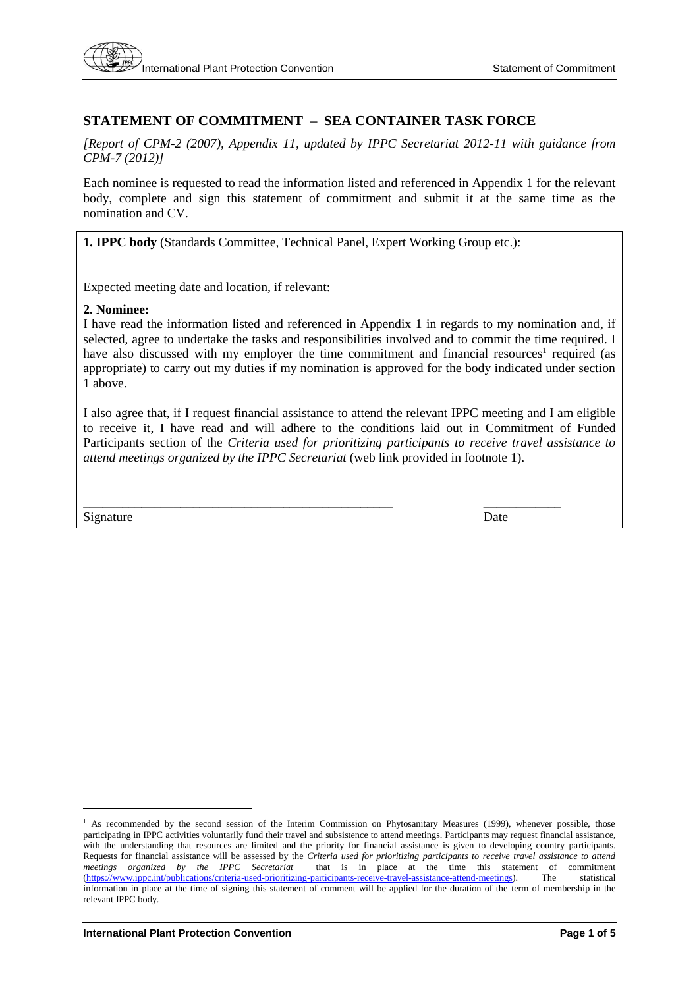# **STATEMENT OF COMMITMENT – SEA CONTAINER TASK FORCE**

*[Report of CPM-2 (2007), Appendix 11, updated by IPPC Secretariat 2012-11 with guidance from CPM-7 (2012)]*

Each nominee is requested to read the information listed and referenced in Appendix 1 for the relevant body, complete and sign this statement of commitment and submit it at the same time as the nomination and CV.

**1. IPPC body** (Standards Committee, Technical Panel, Expert Working Group etc.):

Expected meeting date and location, if relevant:

## **2. Nominee:**

I have read the information listed and referenced in Appendix 1 in regards to my nomination and, if selected, agree to undertake the tasks and responsibilities involved and to commit the time required. I have also discussed with my employer the time commitment and financial resources<sup>1</sup> required (as appropriate) to carry out my duties if my nomination is approved for the body indicated under section 1 above.

I also agree that, if I request financial assistance to attend the relevant IPPC meeting and I am eligible to receive it, I have read and will adhere to the conditions laid out in Commitment of Funded Participants section of the *Criteria used for prioritizing participants to receive travel assistance to attend meetings organized by the IPPC Secretariat* (web link provided in footnote 1).

\_\_\_\_\_\_\_\_\_\_\_\_\_\_\_\_\_\_\_\_\_\_\_\_\_\_\_\_\_\_\_\_\_\_\_\_\_\_\_\_\_\_\_\_\_\_\_\_ \_\_\_\_\_\_\_\_\_\_\_\_

Signature Date

l

<sup>&</sup>lt;sup>1</sup> As recommended by the second session of the Interim Commission on Phytosanitary Measures (1999), whenever possible, those participating in IPPC activities voluntarily fund their travel and subsistence to attend meetings. Participants may request financial assistance, with the understanding that resources are limited and the priority for financial assistance is given to developing country participants. Requests for financial assistance will be assessed by the *Criteria used for prioritizing participants to receive travel assistance to attend meetings organized by the IPPC Secretariat* that is in place at the time this statement of commitment (https://www.innc.int/publications/criteria-used-prioritizing-participants-receive-travel-assistance-attend-meetings). [\(https://www.ippc.int/publications/criteria-used-prioritizing-participants-receive-travel-assistance-attend-meetings\)](https://www.ippc.int/publications/criteria-used-prioritizing-participants-receive-travel-assistance-attend-meetings). The statistical information in place at the time of signing this statement of comment will be applied for the duration of the term of membership in the relevant IPPC body.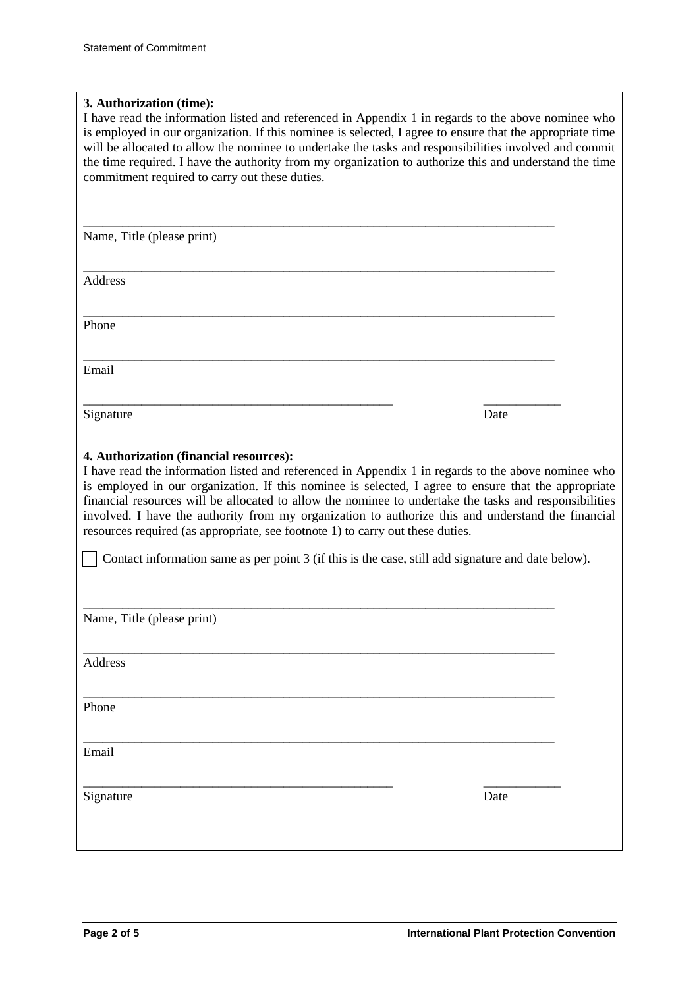## **3. Authorization (time):**

I have read the information listed and referenced in Appendix 1 in regards to the above nominee who is employed in our organization. If this nominee is selected, I agree to ensure that the appropriate time will be allocated to allow the nominee to undertake the tasks and responsibilities involved and commit the time required. I have the authority from my organization to authorize this and understand the time commitment required to carry out these duties.

\_\_\_\_\_\_\_\_\_\_\_\_\_\_\_\_\_\_\_\_\_\_\_\_\_\_\_\_\_\_\_\_\_\_\_\_\_\_\_\_\_\_\_\_\_\_\_\_\_\_\_\_\_\_\_\_\_\_\_\_\_\_\_\_\_\_\_\_\_\_\_\_\_

\_\_\_\_\_\_\_\_\_\_\_\_\_\_\_\_\_\_\_\_\_\_\_\_\_\_\_\_\_\_\_\_\_\_\_\_\_\_\_\_\_\_\_\_\_\_\_\_\_\_\_\_\_\_\_\_\_\_\_\_\_\_\_\_\_\_\_\_\_\_\_\_\_

\_\_\_\_\_\_\_\_\_\_\_\_\_\_\_\_\_\_\_\_\_\_\_\_\_\_\_\_\_\_\_\_\_\_\_\_\_\_\_\_\_\_\_\_\_\_\_\_\_\_\_\_\_\_\_\_\_\_\_\_\_\_\_\_\_\_\_\_\_\_\_\_\_

Name, Title (please print)

Address

\_\_\_\_\_\_\_\_\_\_\_\_\_\_\_\_\_\_\_\_\_\_\_\_\_\_\_\_\_\_\_\_\_\_\_\_\_\_\_\_\_\_\_\_\_\_\_\_\_\_\_\_\_\_\_\_\_\_\_\_\_\_\_\_\_\_\_\_\_\_\_\_\_ Phone

Email

Signature Date Date Date of the United States of the United States of the United States of the United States of the United States of the United States of the United States of the United States of the United States of the U

\_\_\_\_\_\_\_\_\_\_\_\_\_\_\_\_\_\_\_\_\_\_\_\_\_\_\_\_\_\_\_\_\_\_\_\_\_\_\_\_\_\_\_\_\_\_\_\_ \_\_\_\_\_\_\_\_\_\_\_\_

## **4. Authorization (financial resources):**

I have read the information listed and referenced in Appendix 1 in regards to the above nominee who is employed in our organization. If this nominee is selected, I agree to ensure that the appropriate financial resources will be allocated to allow the nominee to undertake the tasks and responsibilities involved. I have the authority from my organization to authorize this and understand the financial resources required (as appropriate, see footnote 1) to carry out these duties.

Contact information same as per point 3 (if this is the case, still add signature and date below).

\_\_\_\_\_\_\_\_\_\_\_\_\_\_\_\_\_\_\_\_\_\_\_\_\_\_\_\_\_\_\_\_\_\_\_\_\_\_\_\_\_\_\_\_\_\_\_\_\_\_\_\_\_\_\_\_\_\_\_\_\_\_\_\_\_\_\_\_\_\_\_\_\_

\_\_\_\_\_\_\_\_\_\_\_\_\_\_\_\_\_\_\_\_\_\_\_\_\_\_\_\_\_\_\_\_\_\_\_\_\_\_\_\_\_\_\_\_\_\_\_\_\_\_\_\_\_\_\_\_\_\_\_\_\_\_\_\_\_\_\_\_\_\_\_\_\_

\_\_\_\_\_\_\_\_\_\_\_\_\_\_\_\_\_\_\_\_\_\_\_\_\_\_\_\_\_\_\_\_\_\_\_\_\_\_\_\_\_\_\_\_\_\_\_\_\_\_\_\_\_\_\_\_\_\_\_\_\_\_\_\_\_\_\_\_\_\_\_\_\_

Name, Title (please print)

Address

\_\_\_\_\_\_\_\_\_\_\_\_\_\_\_\_\_\_\_\_\_\_\_\_\_\_\_\_\_\_\_\_\_\_\_\_\_\_\_\_\_\_\_\_\_\_\_\_\_\_\_\_\_\_\_\_\_\_\_\_\_\_\_\_\_\_\_\_\_\_\_\_\_ Phone

Email

\_\_\_\_\_\_\_\_\_\_\_\_\_\_\_\_\_\_\_\_\_\_\_\_\_\_\_\_\_\_\_\_\_\_\_\_\_\_\_\_\_\_\_\_\_\_\_\_ \_\_\_\_\_\_\_\_\_\_\_\_ Signature Date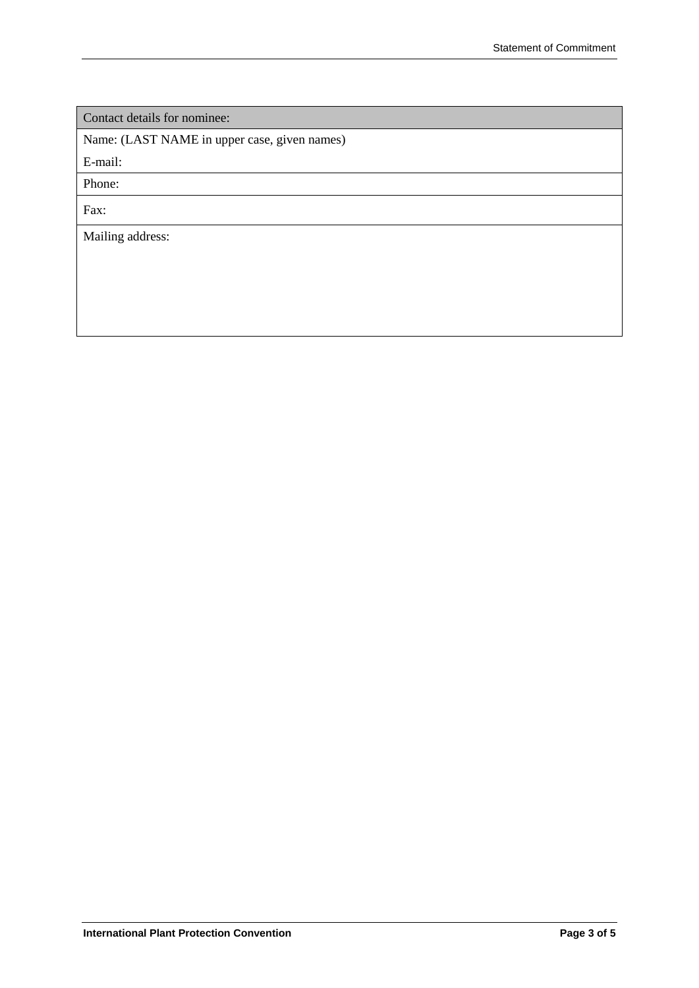Contact details for nominee:

Name: (LAST NAME in upper case, given names)

E-mail:

Phone:

Fax:

Mailing address: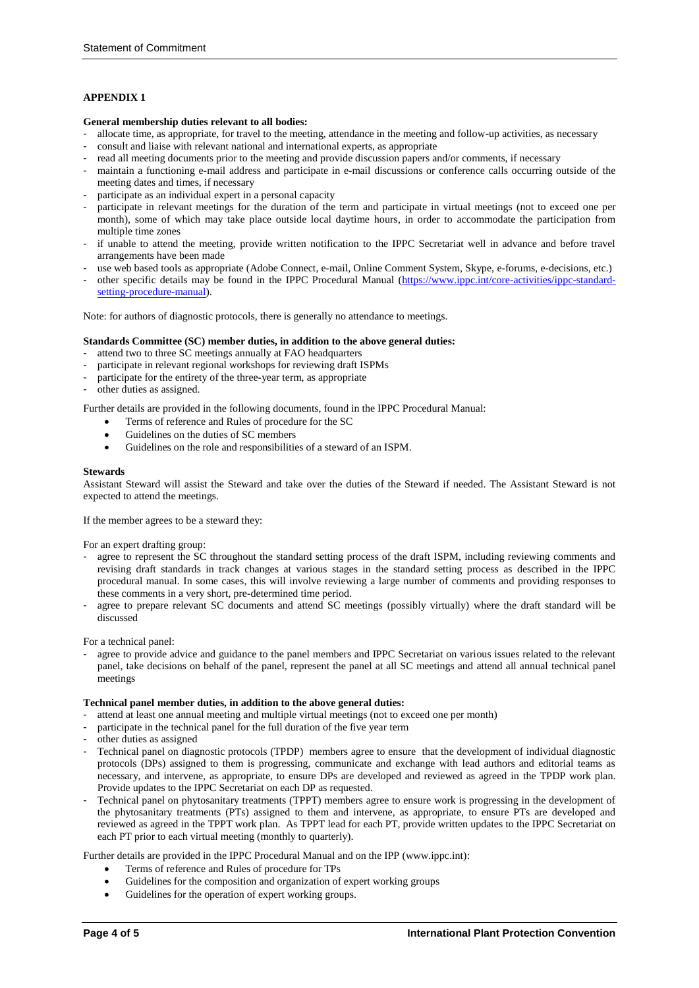### **APPENDIX 1**

#### **General membership duties relevant to all bodies:**

- allocate time, as appropriate, for travel to the meeting, attendance in the meeting and follow-up activities, as necessary
- consult and liaise with relevant national and international experts, as appropriate
- read all meeting documents prior to the meeting and provide discussion papers and/or comments, if necessary
- maintain a functioning e-mail address and participate in e-mail discussions or conference calls occurring outside of the meeting dates and times, if necessary
- participate as an individual expert in a personal capacity
- participate in relevant meetings for the duration of the term and participate in virtual meetings (not to exceed one per month), some of which may take place outside local daytime hours, in order to accommodate the participation from multiple time zones
- if unable to attend the meeting, provide written notification to the IPPC Secretariat well in advance and before travel arrangements have been made
- use web based tools as appropriate (Adobe Connect, e-mail, Online Comment System, Skype, e-forums, e-decisions, etc.)
- other specific details may be found in the IPPC Procedural Manual [\(https://www.ippc.int/core-activities/ippc-standard](https://www.ippc.int/core-activities/ippc-standard-setting-procedure-manual)[setting-procedure-manual\)](https://www.ippc.int/core-activities/ippc-standard-setting-procedure-manual).

Note: for authors of diagnostic protocols, there is generally no attendance to meetings.

#### **Standards Committee (SC) member duties, in addition to the above general duties:**

- attend two to three SC meetings annually at FAO headquarters
- participate in relevant regional workshops for reviewing draft ISPMs
- participate for the entirety of the three-year term, as appropriate
- other duties as assigned.

Further details are provided in the following documents, found in the IPPC Procedural Manual:

- Terms of reference and Rules of procedure for the SC
- Guidelines on the duties of SC members
- Guidelines on the role and responsibilities of a steward of an ISPM.

#### **Stewards**

Assistant Steward will assist the Steward and take over the duties of the Steward if needed. The Assistant Steward is not expected to attend the meetings.

If the member agrees to be a steward they:

For an expert drafting group:

- agree to represent the SC throughout the standard setting process of the draft ISPM, including reviewing comments and revising draft standards in track changes at various stages in the standard setting process as described in the IPPC procedural manual. In some cases, this will involve reviewing a large number of comments and providing responses to these comments in a very short, pre-determined time period.
- agree to prepare relevant SC documents and attend SC meetings (possibly virtually) where the draft standard will be discussed

For a technical panel:

agree to provide advice and guidance to the panel members and IPPC Secretariat on various issues related to the relevant panel, take decisions on behalf of the panel, represent the panel at all SC meetings and attend all annual technical panel meetings

#### **Technical panel member duties, in addition to the above general duties:**

- attend at least one annual meeting and multiple virtual meetings (not to exceed one per month)
- participate in the technical panel for the full duration of the five year term
- other duties as assigned
- Technical panel on diagnostic protocols (TPDP) members agree to ensure that the development of individual diagnostic protocols (DPs) assigned to them is progressing, communicate and exchange with lead authors and editorial teams as necessary, and intervene, as appropriate, to ensure DPs are developed and reviewed as agreed in the TPDP work plan. Provide updates to the IPPC Secretariat on each DP as requested.
- Technical panel on phytosanitary treatments (TPPT) members agree to ensure work is progressing in the development of the phytosanitary treatments (PTs) assigned to them and intervene, as appropriate, to ensure PTs are developed and reviewed as agreed in the TPPT work plan. As TPPT lead for each PT, provide written updates to the IPPC Secretariat on each PT prior to each virtual meeting (monthly to quarterly).

Further details are provided in the IPPC Procedural Manual and on the IPP (www.ippc.int):

- Terms of reference and Rules of procedure for TPs
- Guidelines for the composition and organization of expert working groups
- Guidelines for the operation of expert working groups.